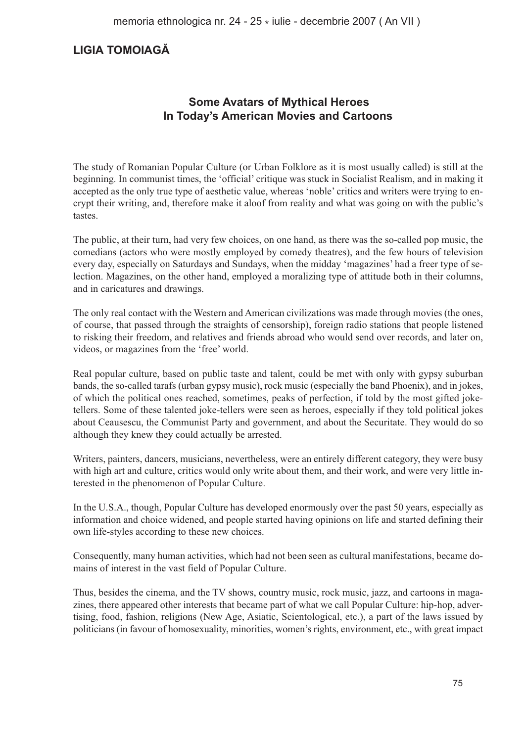# **LIGIA TOMOIAGĂ**

## **Some Avatars of Mythical Heroes In Today's American Movies and Cartoons**

The study of Romanian Popular Culture (or Urban Folklore as it is most usually called) is still at the beginning. In communist times, the 'official' critique was stuck in Socialist Realism, and in making it accepted as the only true type of aesthetic value, whereas 'noble' critics and writers were trying to encrypt their writing, and, therefore make it aloof from reality and what was going on with the public's tastes.

The public, at their turn, had very few choices, on one hand, as there was the so-called pop music, the comedians (actors who were mostly employed by comedy theatres), and the few hours of television every day, especially on Saturdays and Sundays, when the midday 'magazines' had a freer type of selection. Magazines, on the other hand, employed a moralizing type of attitude both in their columns, and in caricatures and drawings.

The only real contact with the Western and American civilizations was made through movies (the ones, of course, that passed through the straights of censorship), foreign radio stations that people listened to risking their freedom, and relatives and friends abroad who would send over records, and later on, videos, or magazines from the 'free' world.

Real popular culture, based on public taste and talent, could be met with only with gypsy suburban bands, the so-called tarafs (urban gypsy music), rock music (especially the band Phoenix), and in jokes, of which the political ones reached, sometimes, peaks of perfection, if told by the most gifted joketellers. Some of these talented joke-tellers were seen as heroes, especially if they told political jokes about Ceausescu, the Communist Party and government, and about the Securitate. They would do so although they knew they could actually be arrested.

Writers, painters, dancers, musicians, nevertheless, were an entirely different category, they were busy with high art and culture, critics would only write about them, and their work, and were very little interested in the phenomenon of Popular Culture.

In the U.S.A., though, Popular Culture has developed enormously over the past 50 years, especially as information and choice widened, and people started having opinions on life and started defining their own life-styles according to these new choices.

Consequently, many human activities, which had not been seen as cultural manifestations, became domains of interest in the vast field of Popular Culture.

Thus, besides the cinema, and the TV shows, country music, rock music, jazz, and cartoons in magazines, there appeared other interests that became part of what we call Popular Culture: hip-hop, advertising, food, fashion, religions (New Age, Asiatic, Scientological, etc.), a part of the laws issued by politicians (in favour of homosexuality, minorities, women's rights, environment, etc., with great impact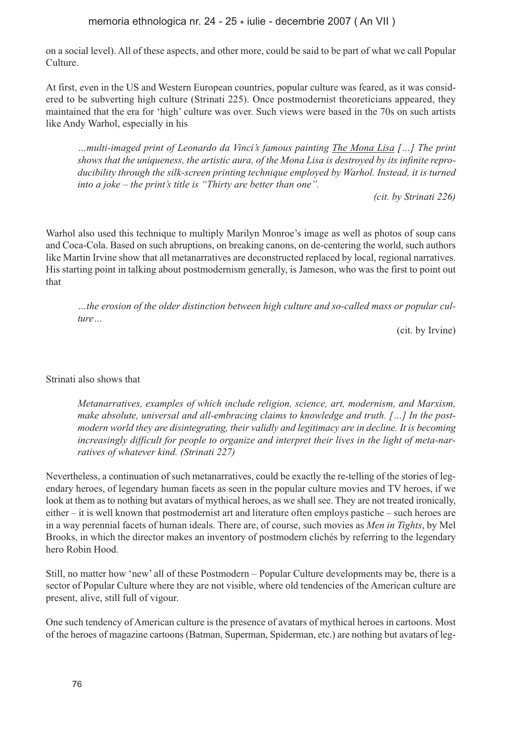memoria ethnologica nr. 24 - 25 \* iulie - decembrie 2007 ( An VII )

on a social level). All of these aspects, and other more, could be said to be part of what we call Popular Culture.

At first, even in the US and Western European countries, popular culture was feared, as it was considered to be subverting high culture (Strinati 225). Once postmodernist theoreticians appeared, they maintained that the era for 'high' culture was over. Such views were based in the 70s on such artists like Andy Warhol, especially in his

*…multi-imaged print of Leonardo da Vinci's famous painting The Mona Lisa […] The print shows that the uniqueness, the artistic aura, of the Mona Lisa is destroyed by its infinite reproducibility through the silk-screen printing technique employed by Warhol. Instead, it is turned into a joke – the print's title is "Thirty are better than one".*

*(cit. by Strinati 226)*

Warhol also used this technique to multiply Marilyn Monroe's image as well as photos of soup cans and Coca-Cola. Based on such abruptions, on breaking canons, on de-centering the world, such authors like Martin Irvine show that all metanarratives are deconstructed replaced by local, regional narratives. His starting point in talking about postmodernism generally, is Jameson, who was the first to point out that

*…the erosion of the older distinction between high culture and so-called mass or popular culture…*

(cit. by Irvine)

### Strinati also shows that

*Metanarratives, examples of which include religion, science, art, modernism, and Marxism, make absolute, universal and all-embracing claims to knowledge and truth. […] In the postmodern world they are disintegrating, their validly and legitimacy are in decline. It is becoming increasingly difficult for people to organize and interpret their lives in the light of meta-narratives of whatever kind. (Strinati 227)*

Nevertheless, a continuation of such metanarratives, could be exactly the re-telling of the stories of legendary heroes, of legendary human facets as seen in the popular culture movies and TV heroes, if we look at them as to nothing but avatars of mythical heroes, as we shall see. They are not treated ironically, either – it is well known that postmodernist art and literature often employs pastiche – such heroes are in a way perennial facets of human ideals. There are, of course, such movies as *Men in Tights*, by Mel Brooks, in which the director makes an inventory of postmodern clichés by referring to the legendary hero Robin Hood.

Still, no matter how 'new' all of these Postmodern – Popular Culture developments may be, there is a sector of Popular Culture where they are not visible, where old tendencies of the American culture are present, alive, still full of vigour.

One such tendency of American culture is the presence of avatars of mythical heroes in cartoons. Most of the heroes of magazine cartoons (Batman, Superman, Spiderman, etc.) are nothing but avatars of leg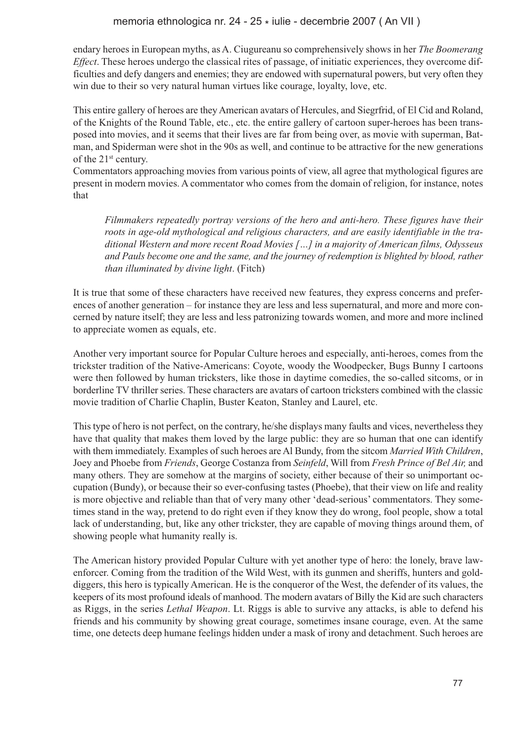endary heroes in European myths, as A. Ciugureanu so comprehensively shows in her *The Boomerang Effect*. These heroes undergo the classical rites of passage, of initiatic experiences, they overcome difficulties and defy dangers and enemies; they are endowed with supernatural powers, but very often they win due to their so very natural human virtues like courage, loyalty, love, etc.

This entire gallery of heroes are they American avatars of Hercules, and Siegrfrid, of El Cid and Roland, of the Knights of the Round Table, etc., etc. the entire gallery of cartoon super-heroes has been transposed into movies, and it seems that their lives are far from being over, as movie with superman, Batman, and Spiderman were shot in the 90s as well, and continue to be attractive for the new generations of the 21st century.

Commentators approaching movies from various points of view, all agree that mythological figures are present in modern movies. A commentator who comes from the domain of religion, for instance, notes that

*Filmmakers repeatedly portray versions of the hero and anti-hero. These figures have their roots in age-old mythological and religious characters, and are easily identifiable in the traditional Western and more recent Road Movies […] in a majority of American films, Odysseus and Pauls become one and the same, and the journey of redemption is blighted by blood, rather than illuminated by divine light*. (Fitch)

It is true that some of these characters have received new features, they express concerns and preferences of another generation – for instance they are less and less supernatural, and more and more concerned by nature itself; they are less and less patronizing towards women, and more and more inclined to appreciate women as equals, etc.

Another very important source for Popular Culture heroes and especially, anti-heroes, comes from the trickster tradition of the Native-Americans: Coyote, woody the Woodpecker, Bugs Bunny I cartoons were then followed by human tricksters, like those in daytime comedies, the so-called sitcoms, or in borderline TV thriller series. These characters are avatars of cartoon tricksters combined with the classic movie tradition of Charlie Chaplin, Buster Keaton, Stanley and Laurel, etc.

This type of hero is not perfect, on the contrary, he/she displays many faults and vices, nevertheless they have that quality that makes them loved by the large public: they are so human that one can identify with them immediately. Examples of such heroes are Al Bundy, from the sitcom *Married With Children*, Joey and Phoebe from *Friends*, George Costanza from *Seinfeld*, Will from *Fresh Prince of Bel Air,* and many others. They are somehow at the margins of society, either because of their so unimportant occupation (Bundy), or because their so ever-confusing tastes (Phoebe), that their view on life and reality is more objective and reliable than that of very many other 'dead-serious' commentators. They sometimes stand in the way, pretend to do right even if they know they do wrong, fool people, show a total lack of understanding, but, like any other trickster, they are capable of moving things around them, of showing people what humanity really is.

The American history provided Popular Culture with yet another type of hero: the lonely, brave lawenforcer. Coming from the tradition of the Wild West, with its gunmen and sheriffs, hunters and golddiggers, this hero is typically American. He is the conqueror of the West, the defender of its values, the keepers of its most profound ideals of manhood. The modern avatars of Billy the Kid are such characters as Riggs, in the series *Lethal Weapon*. Lt. Riggs is able to survive any attacks, is able to defend his friends and his community by showing great courage, sometimes insane courage, even. At the same time, one detects deep humane feelings hidden under a mask of irony and detachment. Such heroes are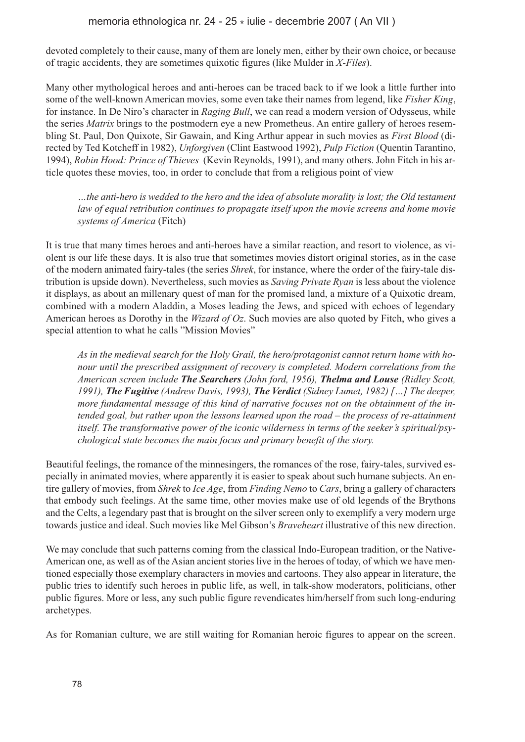devoted completely to their cause, many of them are lonely men, either by their own choice, or because of tragic accidents, they are sometimes quixotic figures (like Mulder in *X-Files*).

Many other mythological heroes and anti-heroes can be traced back to if we look a little further into some of the well-known American movies, some even take their names from legend, like *Fisher King*, for instance. In De Niro's character in *Raging Bull*, we can read a modern version of Odysseus, while the series *Matrix* brings to the postmodern eye a new Prometheus. An entire gallery of heroes resembling St. Paul, Don Quixote, Sir Gawain, and King Arthur appear in such movies as *First Blood* (directed by Ted Kotcheff in 1982), *Unforgiven* (Clint Eastwood 1992), *Pulp Fiction* (Quentin Tarantino, 1994), *Robin Hood: Prince of Thieves* (Kevin Reynolds, 1991), and many others. John Fitch in his article quotes these movies, too, in order to conclude that from a religious point of view

*…the anti-hero is wedded to the hero and the idea of absolute morality is lost; the Old testament law of equal retribution continues to propagate itself upon the movie screens and home movie systems of America* (Fitch)

It is true that many times heroes and anti-heroes have a similar reaction, and resort to violence, as violent is our life these days. It is also true that sometimes movies distort original stories, as in the case of the modern animated fairy-tales (the series *Shrek*, for instance, where the order of the fairy-tale distribution is upside down). Nevertheless, such movies as *Saving Private Ryan* is less about the violence it displays, as about an millenary quest of man for the promised land, a mixture of a Quixotic dream, combined with a modern Aladdin, a Moses leading the Jews, and spiced with echoes of legendary American heroes as Dorothy in the *Wizard of Oz*. Such movies are also quoted by Fitch, who gives a special attention to what he calls "Mission Movies"

*As in the medieval search for the Holy Grail, the hero/protagonist cannot return home with honour until the prescribed assignment of recovery is completed. Modern correlations from the American screen include The Searchers (John ford, 1956), Thelma and Louse (Ridley Scott, 1991), The Fugitive (Andrew Davis, 1993), The Verdict (Sidney Lumet, 1982) […] The deeper, more fundamental message of this kind of narrative focuses not on the obtainment of the intended goal, but rather upon the lessons learned upon the road – the process of re-attainment itself. The transformative power of the iconic wilderness in terms of the seeker's spiritual/psychological state becomes the main focus and primary benefit of the story.*

Beautiful feelings, the romance of the minnesingers, the romances of the rose, fairy-tales, survived especially in animated movies, where apparently it is easier to speak about such humane subjects. An entire gallery of movies, from *Shrek* to *Ice Age*, from *Finding Nemo* to *Cars*, bring a gallery of characters that embody such feelings. At the same time, other movies make use of old legends of the Brythons and the Celts, a legendary past that is brought on the silver screen only to exemplify a very modern urge towards justice and ideal. Such movies like Mel Gibson's *Braveheart* illustrative of this new direction.

We may conclude that such patterns coming from the classical Indo-European tradition, or the Native-American one, as well as of the Asian ancient stories live in the heroes of today, of which we have mentioned especially those exemplary characters in movies and cartoons. They also appear in literature, the public tries to identify such heroes in public life, as well, in talk-show moderators, politicians, other public figures. More or less, any such public figure revendicates him/herself from such long-enduring archetypes.

As for Romanian culture, we are still waiting for Romanian heroic figures to appear on the screen.